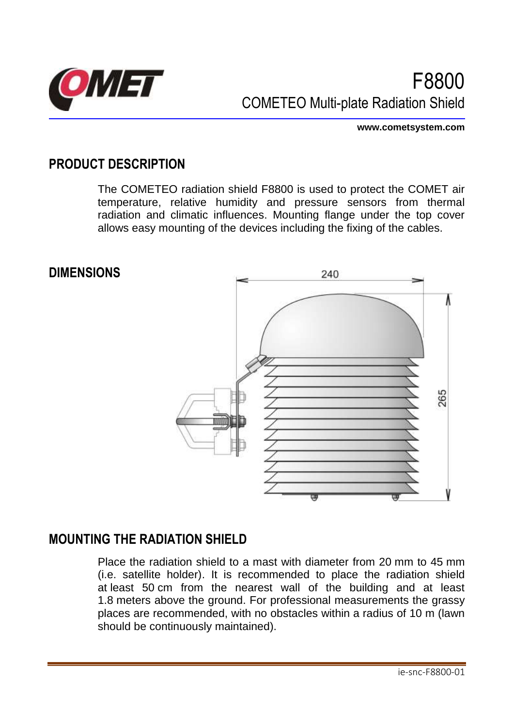

**www.cometsystem.com**

## **PRODUCT DESCRIPTION**

The COMETEO radiation shield F8800 is used to protect the COMET air temperature, relative humidity and pressure sensors from thermal radiation and climatic influences. Mounting flange under the top cover allows easy mounting of the devices including the fixing of the cables.

**DIMENSIONS**



#### **MOUNTING THE RADIATION SHIELD**

Place the radiation shield to a mast with diameter from 20 mm to 45 mm (i.e. satellite holder). It is recommended to place the radiation shield at least 50 cm from the nearest wall of the building and at least 1.8 meters above the ground. For professional measurements the grassy places are recommended, with no obstacles within a radius of 10 m (lawn should be continuously maintained).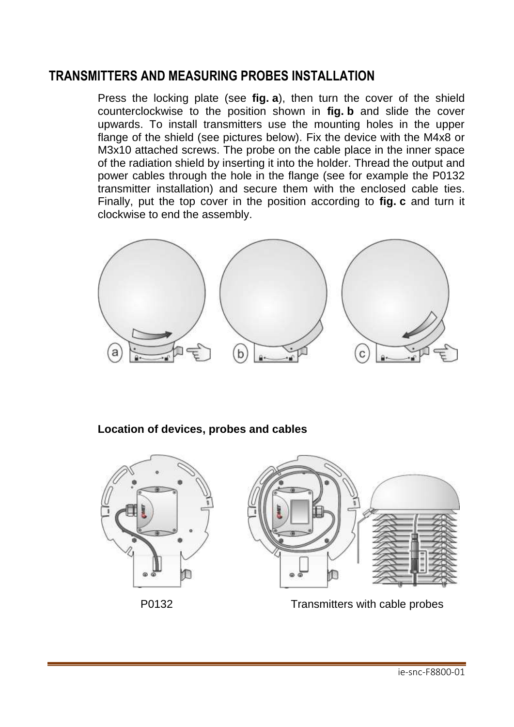## **TRANSMITTERS AND MEASURING PROBES INSTALLATION**

Press the locking plate (see **fig. a**), then turn the cover of the shield counterclockwise to the position shown in **fig. b** and slide the cover upwards. To install transmitters use the mounting holes in the upper flange of the shield (see pictures below). Fix the device with the M4x8 or M3x10 attached screws. The probe on the cable place in the inner space of the radiation shield by inserting it into the holder. Thread the output and power cables through the hole in the flange (see for example the P0132 transmitter installation) and secure them with the enclosed cable ties. Finally, put the top cover in the position according to **fig. c** and turn it clockwise to end the assembly.



**Location of devices, probes and cables**



P0132 Transmitters with cable probes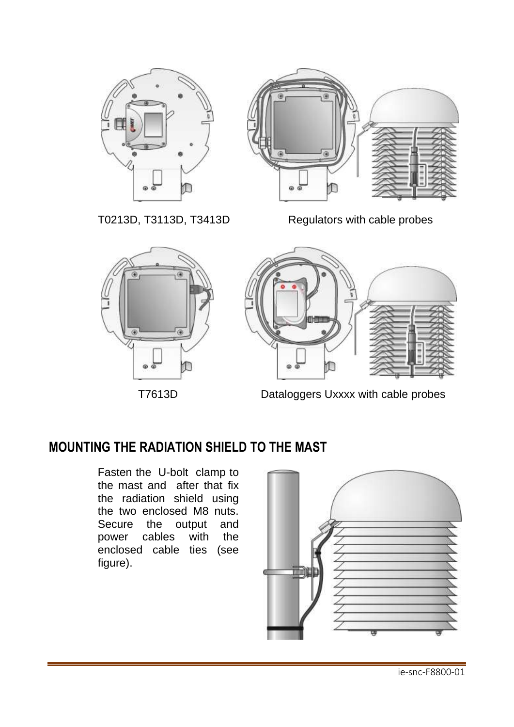



T0213D, T3113D, T3413D Regulators with cable probes



**T7613D** Dataloggers Uxxxx with cable probes

# **MOUNTING THE RADIATION SHIELD TO THE MAST**

Fasten the U-bolt clamp to the mast and after that fix the radiation shield using the two enclosed M8 nuts. Secure the output and power cables with the enclosed cable ties (see figure).